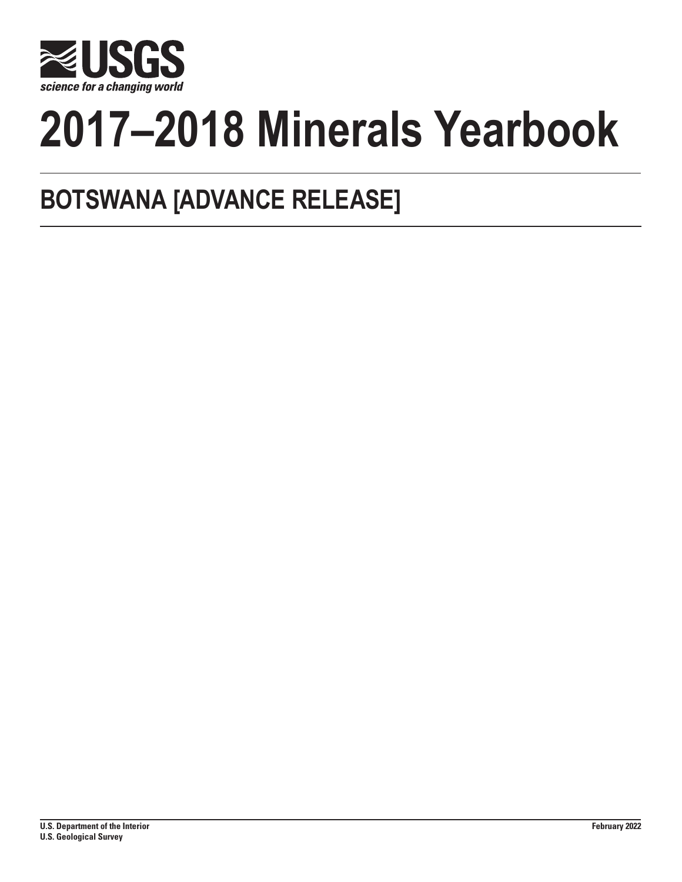

# **2017–2018 Minerals Yearbook**

## **BOTSWANA [ADVANCE RELEASE]**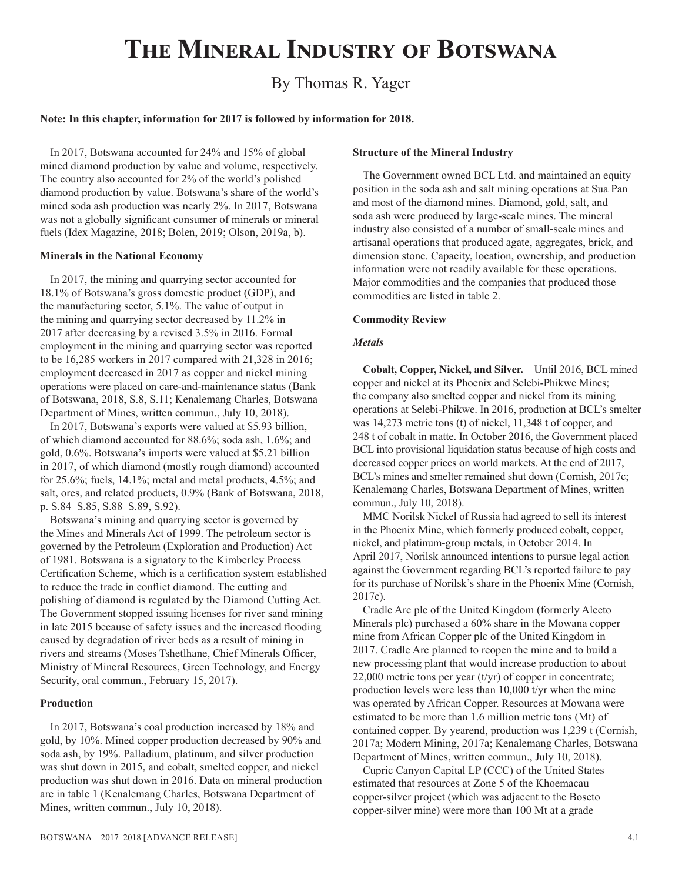## **The Mineral Industry of Botswana**

### By Thomas R. Yager

#### **Note: In this chapter, information for 2017 is followed by information for 2018.**

In 2017, Botswana accounted for 24% and 15% of global mined diamond production by value and volume, respectively. The country also accounted for 2% of the world's polished diamond production by value. Botswana's share of the world's mined soda ash production was nearly 2%. In 2017, Botswana was not a globally significant consumer of minerals or mineral fuels (Idex Magazine, 2018; Bolen, 2019; Olson, 2019a, b).

#### **Minerals in the National Economy**

In 2017, the mining and quarrying sector accounted for 18.1% of Botswana's gross domestic product (GDP), and the manufacturing sector, 5.1%. The value of output in the mining and quarrying sector decreased by 11.2% in 2017 after decreasing by a revised 3.5% in 2016. Formal employment in the mining and quarrying sector was reported to be 16,285 workers in 2017 compared with 21,328 in 2016; employment decreased in 2017 as copper and nickel mining operations were placed on care-and-maintenance status (Bank of Botswana, 2018, S.8, S.11; Kenalemang Charles, Botswana Department of Mines, written commun., July 10, 2018).

In 2017, Botswana's exports were valued at \$5.93 billion, of which diamond accounted for 88.6%; soda ash, 1.6%; and gold, 0.6%. Botswana's imports were valued at \$5.21 billion in 2017, of which diamond (mostly rough diamond) accounted for 25.6%; fuels, 14.1%; metal and metal products, 4.5%; and salt, ores, and related products, 0.9% (Bank of Botswana, 2018, p. S.84–S.85, S.88–S.89, S.92).

Botswana's mining and quarrying sector is governed by the Mines and Minerals Act of 1999. The petroleum sector is governed by the Petroleum (Exploration and Production) Act of 1981. Botswana is a signatory to the Kimberley Process Certification Scheme, which is a certification system established to reduce the trade in conflict diamond. The cutting and polishing of diamond is regulated by the Diamond Cutting Act. The Government stopped issuing licenses for river sand mining in late 2015 because of safety issues and the increased flooding caused by degradation of river beds as a result of mining in rivers and streams (Moses Tshetlhane, Chief Minerals Officer, Ministry of Mineral Resources, Green Technology, and Energy Security, oral commun., February 15, 2017).

#### **Production**

In 2017, Botswana's coal production increased by 18% and gold, by 10%. Mined copper production decreased by 90% and soda ash, by 19%. Palladium, platinum, and silver production was shut down in 2015, and cobalt, smelted copper, and nickel production was shut down in 2016. Data on mineral production are in table 1 (Kenalemang Charles, Botswana Department of Mines, written commun., July 10, 2018).

#### **Structure of the Mineral Industry**

The Government owned BCL Ltd. and maintained an equity position in the soda ash and salt mining operations at Sua Pan and most of the diamond mines. Diamond, gold, salt, and soda ash were produced by large-scale mines. The mineral industry also consisted of a number of small-scale mines and artisanal operations that produced agate, aggregates, brick, and dimension stone. Capacity, location, ownership, and production information were not readily available for these operations. Major commodities and the companies that produced those commodities are listed in table 2.

#### **Commodity Review**

#### *Metals*

**Cobalt, Copper, Nickel, and Silver.**—Until 2016, BCL mined copper and nickel at its Phoenix and Selebi-Phikwe Mines; the company also smelted copper and nickel from its mining operations at Selebi-Phikwe. In 2016, production at BCL's smelter was 14,273 metric tons (t) of nickel, 11,348 t of copper, and 248 t of cobalt in matte. In October 2016, the Government placed BCL into provisional liquidation status because of high costs and decreased copper prices on world markets. At the end of 2017, BCL's mines and smelter remained shut down (Cornish, 2017c; Kenalemang Charles, Botswana Department of Mines, written commun., July 10, 2018).

MMC Norilsk Nickel of Russia had agreed to sell its interest in the Phoenix Mine, which formerly produced cobalt, copper, nickel, and platinum-group metals, in October 2014. In April 2017, Norilsk announced intentions to pursue legal action against the Government regarding BCL's reported failure to pay for its purchase of Norilsk's share in the Phoenix Mine (Cornish, 2017c).

Cradle Arc plc of the United Kingdom (formerly Alecto Minerals plc) purchased a 60% share in the Mowana copper mine from African Copper plc of the United Kingdom in 2017. Cradle Arc planned to reopen the mine and to build a new processing plant that would increase production to about 22,000 metric tons per year (t/yr) of copper in concentrate; production levels were less than 10,000 t/yr when the mine was operated by African Copper. Resources at Mowana were estimated to be more than 1.6 million metric tons (Mt) of contained copper. By yearend, production was 1,239 t (Cornish, 2017a; Modern Mining, 2017a; Kenalemang Charles, Botswana Department of Mines, written commun., July 10, 2018).

Cupric Canyon Capital LP (CCC) of the United States estimated that resources at Zone 5 of the Khoemacau copper-silver project (which was adjacent to the Boseto copper-silver mine) were more than 100 Mt at a grade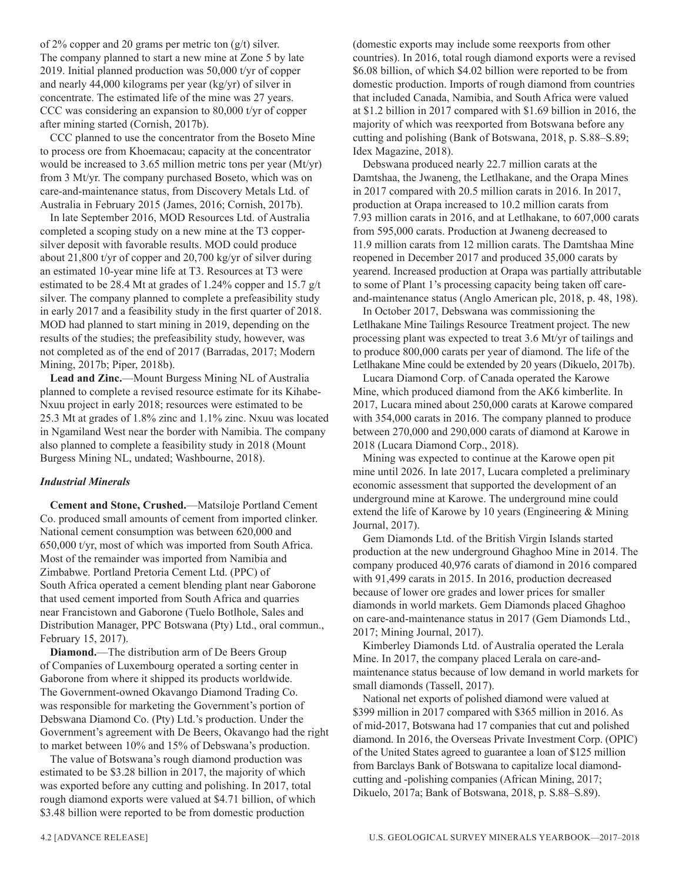of 2% copper and 20 grams per metric ton  $(g/t)$  silver. The company planned to start a new mine at Zone 5 by late 2019. Initial planned production was 50,000 t/yr of copper and nearly 44,000 kilograms per year (kg/yr) of silver in concentrate. The estimated life of the mine was 27 years. CCC was considering an expansion to 80,000 t/yr of copper after mining started (Cornish, 2017b).

CCC planned to use the concentrator from the Boseto Mine to process ore from Khoemacau; capacity at the concentrator would be increased to 3.65 million metric tons per year (Mt/yr) from 3 Mt/yr. The company purchased Boseto, which was on care-and-maintenance status, from Discovery Metals Ltd. of Australia in February 2015 (James, 2016; Cornish, 2017b).

In late September 2016, MOD Resources Ltd. of Australia completed a scoping study on a new mine at the T3 coppersilver deposit with favorable results. MOD could produce about 21,800 t/yr of copper and 20,700 kg/yr of silver during an estimated 10-year mine life at T3. Resources at T3 were estimated to be 28.4 Mt at grades of 1.24% copper and 15.7 g/t silver. The company planned to complete a prefeasibility study in early 2017 and a feasibility study in the first quarter of 2018. MOD had planned to start mining in 2019, depending on the results of the studies; the prefeasibility study, however, was not completed as of the end of 2017 (Barradas, 2017; Modern Mining, 2017b; Piper, 2018b).

**Lead and Zinc.**—Mount Burgess Mining NL of Australia planned to complete a revised resource estimate for its Kihabe-Nxuu project in early 2018; resources were estimated to be 25.3 Mt at grades of 1.8% zinc and 1.1% zinc. Nxuu was located in Ngamiland West near the border with Namibia. The company also planned to complete a feasibility study in 2018 (Mount Burgess Mining NL, undated; Washbourne, 2018).

#### *Industrial Minerals*

**Cement and Stone, Crushed.**—Matsiloje Portland Cement Co. produced small amounts of cement from imported clinker. National cement consumption was between 620,000 and 650,000 t/yr, most of which was imported from South Africa. Most of the remainder was imported from Namibia and Zimbabwe. Portland Pretoria Cement Ltd. (PPC) of South Africa operated a cement blending plant near Gaborone that used cement imported from South Africa and quarries near Francistown and Gaborone (Tuelo Botlhole, Sales and Distribution Manager, PPC Botswana (Pty) Ltd., oral commun., February 15, 2017).

**Diamond.**—The distribution arm of De Beers Group of Companies of Luxembourg operated a sorting center in Gaborone from where it shipped its products worldwide. The Government-owned Okavango Diamond Trading Co. was responsible for marketing the Government's portion of Debswana Diamond Co. (Pty) Ltd.'s production. Under the Government's agreement with De Beers, Okavango had the right to market between 10% and 15% of Debswana's production.

The value of Botswana's rough diamond production was estimated to be \$3.28 billion in 2017, the majority of which was exported before any cutting and polishing. In 2017, total rough diamond exports were valued at \$4.71 billion, of which \$3.48 billion were reported to be from domestic production

(domestic exports may include some reexports from other countries). In 2016, total rough diamond exports were a revised \$6.08 billion, of which \$4.02 billion were reported to be from domestic production. Imports of rough diamond from countries that included Canada, Namibia, and South Africa were valued at \$1.2 billion in 2017 compared with \$1.69 billion in 2016, the majority of which was reexported from Botswana before any cutting and polishing (Bank of Botswana, 2018, p. S.88–S.89; Idex Magazine, 2018).

Debswana produced nearly 22.7 million carats at the Damtshaa, the Jwaneng, the Letlhakane, and the Orapa Mines in 2017 compared with 20.5 million carats in 2016. In 2017, production at Orapa increased to 10.2 million carats from 7.93 million carats in 2016, and at Letlhakane, to 607,000 carats from 595,000 carats. Production at Jwaneng decreased to 11.9 million carats from 12 million carats. The Damtshaa Mine reopened in December 2017 and produced 35,000 carats by yearend. Increased production at Orapa was partially attributable to some of Plant 1's processing capacity being taken off careand-maintenance status (Anglo American plc, 2018, p. 48, 198).

In October 2017, Debswana was commissioning the Letlhakane Mine Tailings Resource Treatment project. The new processing plant was expected to treat 3.6 Mt/yr of tailings and to produce 800,000 carats per year of diamond. The life of the Letlhakane Mine could be extended by 20 years (Dikuelo, 2017b).

Lucara Diamond Corp. of Canada operated the Karowe Mine, which produced diamond from the AK6 kimberlite. In 2017, Lucara mined about 250,000 carats at Karowe compared with 354,000 carats in 2016. The company planned to produce between 270,000 and 290,000 carats of diamond at Karowe in 2018 (Lucara Diamond Corp., 2018).

Mining was expected to continue at the Karowe open pit mine until 2026. In late 2017, Lucara completed a preliminary economic assessment that supported the development of an underground mine at Karowe. The underground mine could extend the life of Karowe by 10 years (Engineering & Mining Journal, 2017).

Gem Diamonds Ltd. of the British Virgin Islands started production at the new underground Ghaghoo Mine in 2014. The company produced 40,976 carats of diamond in 2016 compared with 91,499 carats in 2015. In 2016, production decreased because of lower ore grades and lower prices for smaller diamonds in world markets. Gem Diamonds placed Ghaghoo on care-and-maintenance status in 2017 (Gem Diamonds Ltd., 2017; Mining Journal, 2017).

Kimberley Diamonds Ltd. of Australia operated the Lerala Mine. In 2017, the company placed Lerala on care-andmaintenance status because of low demand in world markets for small diamonds (Tassell, 2017).

National net exports of polished diamond were valued at \$399 million in 2017 compared with \$365 million in 2016. As of mid-2017, Botswana had 17 companies that cut and polished diamond. In 2016, the Overseas Private Investment Corp. (OPIC) of the United States agreed to guarantee a loan of \$125 million from Barclays Bank of Botswana to capitalize local diamondcutting and -polishing companies (African Mining, 2017; Dikuelo, 2017a; Bank of Botswana, 2018, p. S.88–S.89).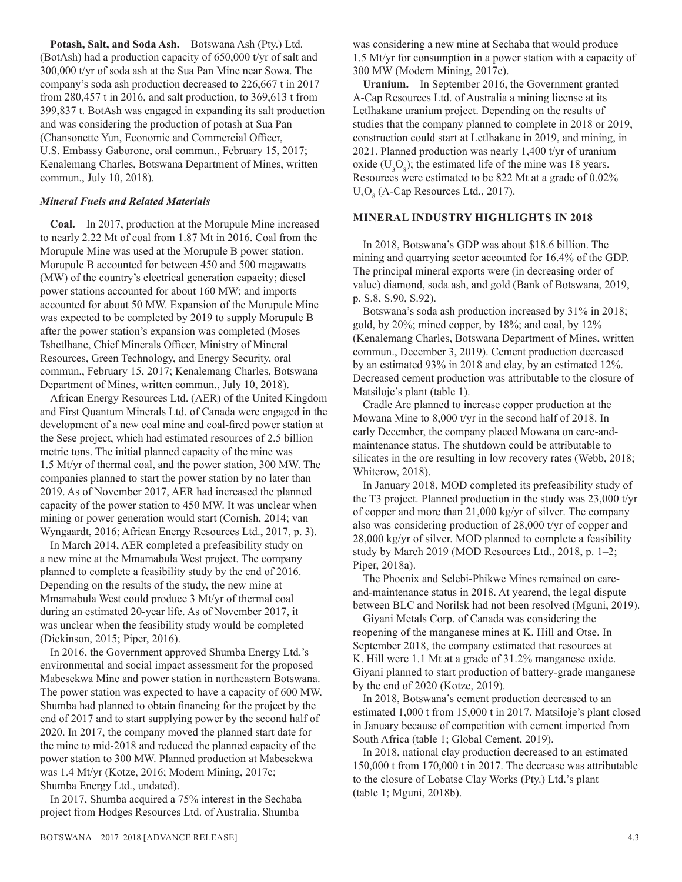**Potash, Salt, and Soda Ash.**—Botswana Ash (Pty.) Ltd. (BotAsh) had a production capacity of 650,000 t/yr of salt and 300,000 t/yr of soda ash at the Sua Pan Mine near Sowa. The company's soda ash production decreased to 226,667 t in 2017 from 280,457 t in 2016, and salt production, to 369,613 t from 399,837 t. BotAsh was engaged in expanding its salt production and was considering the production of potash at Sua Pan (Chansonette Yun, Economic and Commercial Officer, U.S. Embassy Gaborone, oral commun., February 15, 2017; Kenalemang Charles, Botswana Department of Mines, written commun., July 10, 2018).

#### *Mineral Fuels and Related Materials*

**Coal.**—In 2017, production at the Morupule Mine increased to nearly 2.22 Mt of coal from 1.87 Mt in 2016. Coal from the Morupule Mine was used at the Morupule B power station. Morupule B accounted for between 450 and 500 megawatts (MW) of the country's electrical generation capacity; diesel power stations accounted for about 160 MW; and imports accounted for about 50 MW. Expansion of the Morupule Mine was expected to be completed by 2019 to supply Morupule B after the power station's expansion was completed (Moses Tshetlhane, Chief Minerals Officer, Ministry of Mineral Resources, Green Technology, and Energy Security, oral commun., February 15, 2017; Kenalemang Charles, Botswana Department of Mines, written commun., July 10, 2018).

African Energy Resources Ltd. (AER) of the United Kingdom and First Quantum Minerals Ltd. of Canada were engaged in the development of a new coal mine and coal-fired power station at the Sese project, which had estimated resources of 2.5 billion metric tons. The initial planned capacity of the mine was 1.5 Mt/yr of thermal coal, and the power station, 300 MW. The companies planned to start the power station by no later than 2019. As of November 2017, AER had increased the planned capacity of the power station to 450 MW. It was unclear when mining or power generation would start (Cornish, 2014; van Wyngaardt, 2016; African Energy Resources Ltd., 2017, p. 3).

In March 2014, AER completed a prefeasibility study on a new mine at the Mmamabula West project. The company planned to complete a feasibility study by the end of 2016. Depending on the results of the study, the new mine at Mmamabula West could produce 3 Mt/yr of thermal coal during an estimated 20-year life. As of November 2017, it was unclear when the feasibility study would be completed (Dickinson, 2015; Piper, 2016).

In 2016, the Government approved Shumba Energy Ltd.'s environmental and social impact assessment for the proposed Mabesekwa Mine and power station in northeastern Botswana. The power station was expected to have a capacity of 600 MW. Shumba had planned to obtain financing for the project by the end of 2017 and to start supplying power by the second half of 2020. In 2017, the company moved the planned start date for the mine to mid-2018 and reduced the planned capacity of the power station to 300 MW. Planned production at Mabesekwa was 1.4 Mt/yr (Kotze, 2016; Modern Mining, 2017c; Shumba Energy Ltd., undated).

In 2017, Shumba acquired a 75% interest in the Sechaba project from Hodges Resources Ltd. of Australia. Shumba

was considering a new mine at Sechaba that would produce 1.5 Mt/yr for consumption in a power station with a capacity of 300 MW (Modern Mining, 2017c).

**Uranium.**—In September 2016, the Government granted A-Cap Resources Ltd. of Australia a mining license at its Letlhakane uranium project. Depending on the results of studies that the company planned to complete in 2018 or 2019, construction could start at Letlhakane in 2019, and mining, in 2021. Planned production was nearly 1,400 t/yr of uranium oxide  $(U_3O_8)$ ; the estimated life of the mine was 18 years. Resources were estimated to be 822 Mt at a grade of 0.02%  $U_3O_8$  (A-Cap Resources Ltd., 2017).

#### **MINERAL INDUSTRY HIGHLIGHTS IN 2018**

In 2018, Botswana's GDP was about \$18.6 billion. The mining and quarrying sector accounted for 16.4% of the GDP. The principal mineral exports were (in decreasing order of value) diamond, soda ash, and gold (Bank of Botswana, 2019, p. S.8, S.90, S.92).

Botswana's soda ash production increased by 31% in 2018; gold, by 20%; mined copper, by 18%; and coal, by 12% (Kenalemang Charles, Botswana Department of Mines, written commun., December 3, 2019). Cement production decreased by an estimated 93% in 2018 and clay, by an estimated 12%. Decreased cement production was attributable to the closure of Matsiloje's plant (table 1).

Cradle Arc planned to increase copper production at the Mowana Mine to 8,000 t/yr in the second half of 2018. In early December, the company placed Mowana on care-andmaintenance status. The shutdown could be attributable to silicates in the ore resulting in low recovery rates (Webb, 2018; Whiterow, 2018).

In January 2018, MOD completed its prefeasibility study of the T3 project. Planned production in the study was 23,000 t/yr of copper and more than 21,000 kg/yr of silver. The company also was considering production of 28,000 t/yr of copper and 28,000 kg/yr of silver. MOD planned to complete a feasibility study by March 2019 (MOD Resources Ltd., 2018, p. 1–2; Piper, 2018a).

The Phoenix and Selebi-Phikwe Mines remained on careand-maintenance status in 2018. At yearend, the legal dispute between BLC and Norilsk had not been resolved (Mguni, 2019).

Giyani Metals Corp. of Canada was considering the reopening of the manganese mines at K. Hill and Otse. In September 2018, the company estimated that resources at K. Hill were 1.1 Mt at a grade of 31.2% manganese oxide. Giyani planned to start production of battery-grade manganese by the end of 2020 (Kotze, 2019).

In 2018, Botswana's cement production decreased to an estimated 1,000 t from 15,000 t in 2017. Matsiloje's plant closed in January because of competition with cement imported from South Africa (table 1; Global Cement, 2019).

In 2018, national clay production decreased to an estimated 150,000 t from 170,000 t in 2017. The decrease was attributable to the closure of Lobatse Clay Works (Pty.) Ltd.'s plant (table 1; Mguni, 2018b).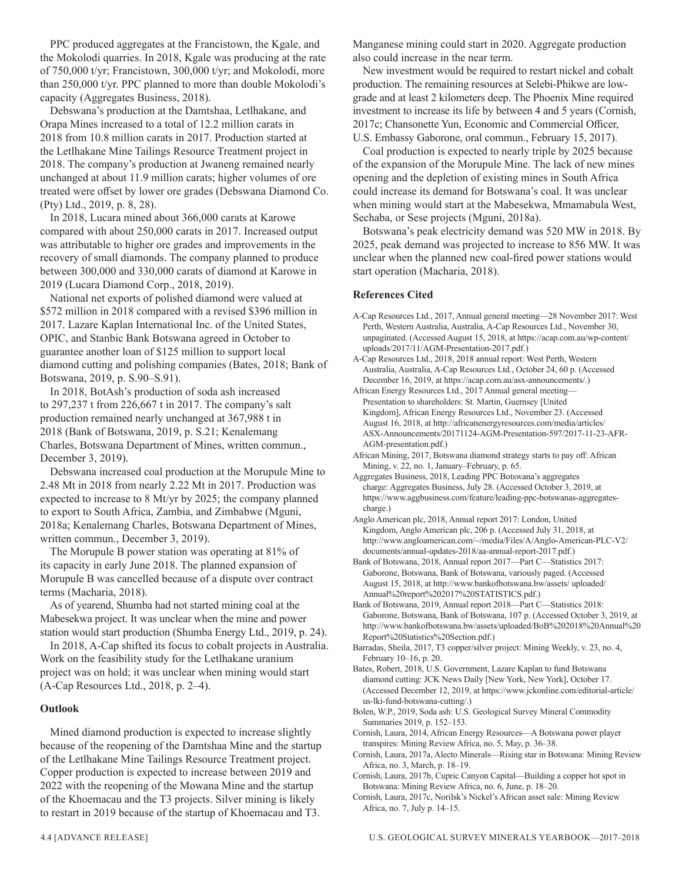PPC produced aggregates at the Francistown, the Kgale, and the Mokolodi quarries. In 2018, Kgale was producing at the rate of 750,000 t/yr; Francistown, 300,000 t/yr; and Mokolodi, more than 250,000 t/yr. PPC planned to more than double Mokolodi's capacity (Aggregates Business, 2018).

Debswana's production at the Damtshaa, Letlhakane, and Orapa Mines increased to a total of 12.2 million carats in 2018 from 10.8 million carats in 2017. Production started at the Letlhakane Mine Tailings Resource Treatment project in 2018. The company's production at Jwaneng remained nearly unchanged at about 11.9 million carats; higher volumes of ore treated were offset by lower ore grades (Debswana Diamond Co. (Pty) Ltd., 2019, p. 8, 28).

In 2018, Lucara mined about 366,000 carats at Karowe compared with about 250,000 carats in 2017. Increased output was attributable to higher ore grades and improvements in the recovery of small diamonds. The company planned to produce between 300,000 and 330,000 carats of diamond at Karowe in 2019 (Lucara Diamond Corp., 2018, 2019).

National net exports of polished diamond were valued at \$572 million in 2018 compared with a revised \$396 million in 2017. Lazare Kaplan International Inc. of the United States, OPIC, and Stanbic Bank Botswana agreed in October to guarantee another loan of \$125 million to support local diamond cutting and polishing companies (Bates, 2018; Bank of Botswana, 2019, p. S.90–S.91).

In 2018, BotAsh's production of soda ash increased to 297,237 t from 226,667 t in 2017. The company's salt production remained nearly unchanged at 367,988 t in 2018 (Bank of Botswana, 2019, p. S.21; Kenalemang Charles, Botswana Department of Mines, written commun., December 3, 2019).

Debswana increased coal production at the Morupule Mine to 2.48 Mt in 2018 from nearly 2.22 Mt in 2017. Production was expected to increase to 8 Mt/yr by 2025; the company planned to export to South Africa, Zambia, and Zimbabwe (Mguni, 2018a; Kenalemang Charles, Botswana Department of Mines, written commun., December 3, 2019).

The Morupule B power station was operating at 81% of its capacity in early June 2018. The planned expansion of Morupule B was cancelled because of a dispute over contract terms (Macharia, 2018).

As of yearend, Shumba had not started mining coal at the Mabesekwa project. It was unclear when the mine and power station would start production (Shumba Energy Ltd., 2019, p. 24).

In 2018, A-Cap shifted its focus to cobalt projects in Australia. Work on the feasibility study for the Letlhakane uranium project was on hold; it was unclear when mining would start (A-Cap Resources Ltd., 2018, p. 2–4).

#### **Outlook**

Mined diamond production is expected to increase slightly because of the reopening of the Damtshaa Mine and the startup of the Letlhakane Mine Tailings Resource Treatment project. Copper production is expected to increase between 2019 and 2022 with the reopening of the Mowana Mine and the startup of the Khoemacau and the T3 projects. Silver mining is likely to restart in 2019 because of the startup of Khoemacau and T3.

Manganese mining could start in 2020. Aggregate production also could increase in the near term.

New investment would be required to restart nickel and cobalt production. The remaining resources at Selebi-Phikwe are lowgrade and at least 2 kilometers deep. The Phoenix Mine required investment to increase its life by between 4 and 5 years (Cornish, 2017c; Chansonette Yun, Economic and Commercial Officer, U.S. Embassy Gaborone, oral commun., February 15, 2017).

Coal production is expected to nearly triple by 2025 because of the expansion of the Morupule Mine. The lack of new mines opening and the depletion of existing mines in South Africa could increase its demand for Botswana's coal. It was unclear when mining would start at the Mabesekwa, Mmamabula West, Sechaba, or Sese projects (Mguni, 2018a).

Botswana's peak electricity demand was 520 MW in 2018. By 2025, peak demand was projected to increase to 856 MW. It was unclear when the planned new coal-fired power stations would start operation (Macharia, 2018).

#### **References Cited**

A-Cap Resources Ltd., 2017, Annual general meeting—28 November 2017: West Perth, Western Australia, Australia, A-Cap Resources Ltd., November 30, unpaginated. (Accessed August 15, 2018, at https://acap.com.au/wp-content/ uploads/2017/11/AGM-Presentation-2017.pdf.)

A-Cap Resources Ltd., 2018, 2018 annual report: West Perth, Western Australia, Australia, A-Cap Resources Ltd., October 24, 60 p. (Accessed December 16, 2019, at https://acap.com.au/asx-announcements/.)

African Energy Resources Ltd., 2017 Annual general meeting— Presentation to shareholders: St. Martin, Guernsey [United Kingdom], African Energy Resources Ltd., November 23. (Accessed August 16, 2018, at http://africanenergyresources.com/media/articles/ ASX-Announcements/20171124-AGM-Presentation-597/2017-11-23-AFR-AGM-presentation.pdf.)

African Mining, 2017, Botswana diamond strategy starts to pay off: African Mining, v. 22, no. 1, January–February, p. 65.

Aggregates Business, 2018, Leading PPC Botswana's aggregates charge: Aggregates Business, July 28. (Accessed October 3, 2019, at https://www.aggbusiness.com/feature/leading-ppc-botswanas-aggregatescharge.)

Anglo American plc, 2018, Annual report 2017: London, United Kingdom, Anglo American plc, 206 p. (Accessed July 31, 2018, at http://www.angloamerican.com/~/media/Files/A/Anglo-American-PLC-V2/ documents/annual-updates-2018/aa-annual-report-2017.pdf.)

Bank of Botswana, 2018, Annual report 2017—Part C—Statistics 2017: Gaborone, Botswana, Bank of Botswana, variously paged. (Accessed August 15, 2018, at http://www.bankofbotswana.bw/assets/ uploaded/ Annual%20report%202017%20STATISTICS.pdf.)

Bank of Botswana, 2019, Annual report 2018—Part C—Statistics 2018: Gaborone, Botswana, Bank of Botswana, 107 p. (Accessed October 3, 2019, at http://www.bankofbotswana.bw/assets/uploaded/BoB%202018%20Annual%20 Report%20Statistics%20Section.pdf.)

Barradas, Sheila, 2017, T3 copper/silver project: Mining Weekly, v. 23, no. 4, February 10–16, p. 20.

Bates, Robert, 2018, U.S. Government, Lazare Kaplan to fund Botswana diamond cutting: JCK News Daily [New York, New York], October 17. (Accessed December 12, 2019, at https://www.jckonline.com/editorial-article/ us-lki-fund-botswana-cutting/.)

Bolen, W.P., 2019, Soda ash: U.S. Geological Survey Mineral Commodity Summaries 2019, p. 152–153.

- Cornish, Laura, 2014, African Energy Resources—A Botswana power player transpires: Mining Review Africa, no. 5, May, p. 36–38.
- Cornish, Laura, 2017a, Alecto Minerals—Rising star in Botswana: Mining Review Africa, no. 3, March, p. 18–19.

Cornish, Laura, 2017b, Cupric Canyon Capital—Building a copper hot spot in Botswana: Mining Review Africa, no. 6, June, p. 18–20.

Cornish, Laura, 2017c, Norilsk's Nickel's African asset sale: Mining Review Africa, no. 7, July p. 14–15.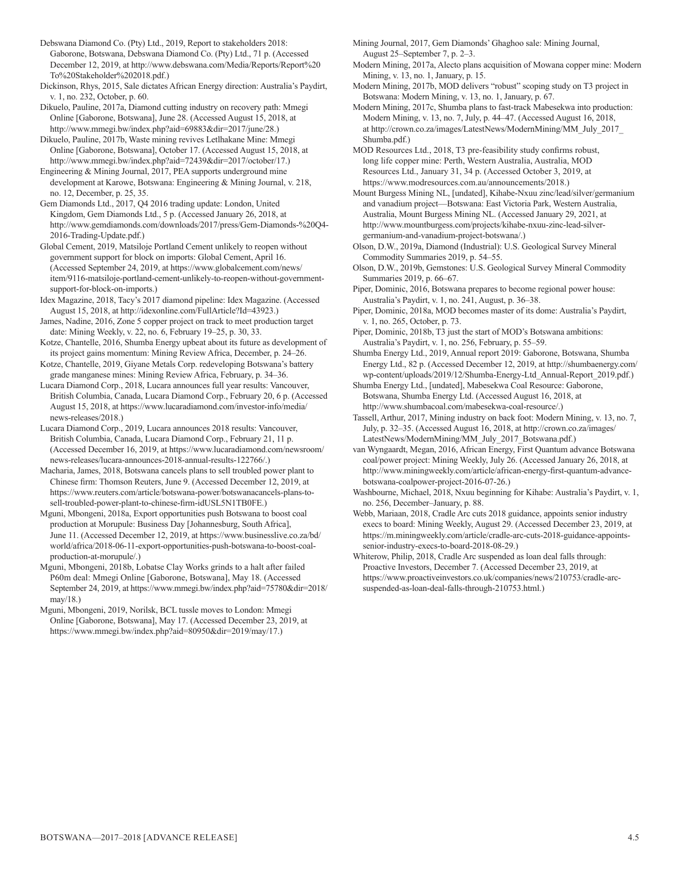Debswana Diamond Co. (Pty) Ltd., 2019, Report to stakeholders 2018: Gaborone, Botswana, Debswana Diamond Co. (Pty) Ltd., 71 p. (Accessed December 12, 2019, at http://www.debswana.com/Media/Reports/Report%20 To%20Stakeholder%202018.pdf.)

Dickinson, Rhys, 2015, Sale dictates African Energy direction: Australia's Paydirt, v. 1, no. 232, October, p. 60.

Dikuelo, Pauline, 2017a, Diamond cutting industry on recovery path: Mmegi Online [Gaborone, Botswana], June 28. (Accessed August 15, 2018, at http://www.mmegi.bw/index.php?aid=69883&dir=2017/june/28.)

Dikuelo, Pauline, 2017b, Waste mining revives Letlhakane Mine: Mmegi Online [Gaborone, Botswana], October 17. (Accessed August 15, 2018, at http://www.mmegi.bw/index.php?aid=72439&dir=2017/october/17.)

Engineering & Mining Journal, 2017, PEA supports underground mine development at Karowe, Botswana: Engineering & Mining Journal, v. 218, no. 12, December, p. 25, 35.

Gem Diamonds Ltd., 2017, Q4 2016 trading update: London, United Kingdom, Gem Diamonds Ltd., 5 p. (Accessed January 26, 2018, at http://www.gemdiamonds.com/downloads/2017/press/Gem-Diamonds-%20Q4- 2016-Trading-Update.pdf.)

Global Cement, 2019, Matsiloje Portland Cement unlikely to reopen without government support for block on imports: Global Cement, April 16. (Accessed September 24, 2019, at https://www.globalcement.com/news/ item/9116-matsiloje-portland-cement-unlikely-to-reopen-without-governmentsupport-for-block-on-imports.)

Idex Magazine, 2018, Tacy's 2017 diamond pipeline: Idex Magazine. (Accessed August 15, 2018, at http://idexonline.com/FullArticle?Id=43923.)

James, Nadine, 2016, Zone 5 copper project on track to meet production target date: Mining Weekly, v. 22, no. 6, February 19–25, p. 30, 33.

Kotze, Chantelle, 2016, Shumba Energy upbeat about its future as development of its project gains momentum: Mining Review Africa, December, p. 24–26.

Kotze, Chantelle, 2019, Giyane Metals Corp. redeveloping Botswana's battery grade manganese mines: Mining Review Africa, February, p. 34–36.

Lucara Diamond Corp., 2018, Lucara announces full year results: Vancouver, British Columbia, Canada, Lucara Diamond Corp., February 20, 6 p. (Accessed August 15, 2018, at https://www.lucaradiamond.com/investor-info/media/ news-releases/2018.)

Lucara Diamond Corp., 2019, Lucara announces 2018 results: Vancouver, British Columbia, Canada, Lucara Diamond Corp., February 21, 11 p. (Accessed December 16, 2019, at https://www.lucaradiamond.com/newsroom/ news-releases/lucara-announces-2018-annual-results-122766/.)

Macharia, James, 2018, Botswana cancels plans to sell troubled power plant to Chinese firm: Thomson Reuters, June 9. (Accessed December 12, 2019, at https://www.reuters.com/article/botswana-power/botswanacancels-plans-tosell-troubled-power-plant-to-chinese-firm-idUSL5N1TB0FE.)

Mguni, Mbongeni, 2018a, Export opportunities push Botswana to boost coal production at Morupule: Business Day [Johannesburg, South Africa], June 11. (Accessed December 12, 2019, at https://www.businesslive.co.za/bd/ world/africa/2018-06-11-export-opportunities-push-botswana-to-boost-coalproduction-at-morupule/.)

Mguni, Mbongeni, 2018b, Lobatse Clay Works grinds to a halt after failed P60m deal: Mmegi Online [Gaborone, Botswana], May 18. (Accessed September 24, 2019, at https://www.mmegi.bw/index.php?aid=75780&dir=2018/ may/18.)

Mguni, Mbongeni, 2019, Norilsk, BCL tussle moves to London: Mmegi Online [Gaborone, Botswana], May 17. (Accessed December 23, 2019, at https://www.mmegi.bw/index.php?aid=80950&dir=2019/may/17.)

Mining Journal, 2017, Gem Diamonds' Ghaghoo sale: Mining Journal, August 25–September 7, p. 2–3.

Modern Mining, 2017a, Alecto plans acquisition of Mowana copper mine: Modern Mining, v. 13, no. 1, January, p. 15.

Modern Mining, 2017b, MOD delivers "robust" scoping study on T3 project in Botswana: Modern Mining, v. 13, no. 1, January, p. 67.

Modern Mining, 2017c, Shumba plans to fast-track Mabesekwa into production: Modern Mining, v. 13, no. 7, July, p. 44–47. (Accessed August 16, 2018, at http://crown.co.za/images/LatestNews/ModernMining/MM\_July\_2017\_ Shumba.pdf.)

MOD Resources Ltd., 2018, T3 pre-feasibility study confirms robust, long life copper mine: Perth, Western Australia, Australia, MOD Resources Ltd., January 31, 34 p. (Accessed October 3, 2019, at https://www.modresources.com.au/announcements/2018.)

Mount Burgess Mining NL, [undated], Kihabe-Nxuu zinc/lead/silver/germanium and vanadium project—Botswana: East Victoria Park, Western Australia, Australia, Mount Burgess Mining NL. (Accessed January 29, 2021, at http://www.mountburgess.com/projects/kihabe-nxuu-zinc-lead-silvergermanium-and-vanadium-project-botswana/.)

Olson, D.W., 2019a, Diamond (Industrial): U.S. Geological Survey Mineral Commodity Summaries 2019, p. 54–55.

Olson, D.W., 2019b, Gemstones: U.S. Geological Survey Mineral Commodity Summaries 2019, p. 66–67.

Piper, Dominic, 2016, Botswana prepares to become regional power house: Australia's Paydirt, v. 1, no. 241, August, p. 36–38.

Piper, Dominic, 2018a, MOD becomes master of its dome: Australia's Paydirt, v. 1, no. 265, October, p. 73.

Piper, Dominic, 2018b, T3 just the start of MOD's Botswana ambitions: Australia's Paydirt, v. 1, no. 256, February, p. 55–59.

Shumba Energy Ltd., 2019, Annual report 2019: Gaborone, Botswana, Shumba Energy Ltd., 82 p. (Accessed December 12, 2019, at http://shumbaenergy.com/ wp-content/uploads/2019/12/Shumba-Energy-Ltd\_Annual-Report\_2019.pdf.)

Shumba Energy Ltd., [undated], Mabesekwa Coal Resource: Gaborone, Botswana, Shumba Energy Ltd. (Accessed August 16, 2018, at http://www.shumbacoal.com/mabesekwa-coal-resource/.)

- Tassell, Arthur, 2017, Mining industry on back foot: Modern Mining, v. 13, no. 7, July, p. 32–35. (Accessed August 16, 2018, at http://crown.co.za/images/ LatestNews/ModernMining/MM\_July\_2017\_Botswana.pdf.)
- van Wyngaardt, Megan, 2016, African Energy, First Quantum advance Botswana coal/power project: Mining Weekly, July 26. (Accessed January 26, 2018, at http://www.miningweekly.com/article/african-energy-first-quantum-advancebotswana-coalpower-project-2016-07-26.)

Washbourne, Michael, 2018, Nxuu beginning for Kihabe: Australia's Paydirt, v. 1, no. 256, December–January, p. 88.

Webb, Mariaan, 2018, Cradle Arc cuts 2018 guidance, appoints senior industry execs to board: Mining Weekly, August 29. (Accessed December 23, 2019, at https://m.miningweekly.com/article/cradle-arc-cuts-2018-guidance-appointssenior-industry-execs-to-board-2018-08-29.)

Whiterow, Philip, 2018, Cradle Arc suspended as loan deal falls through: Proactive Investors, December 7. (Accessed December 23, 2019, at https://www.proactiveinvestors.co.uk/companies/news/210753/cradle-arcsuspended-as-loan-deal-falls-through-210753.html.)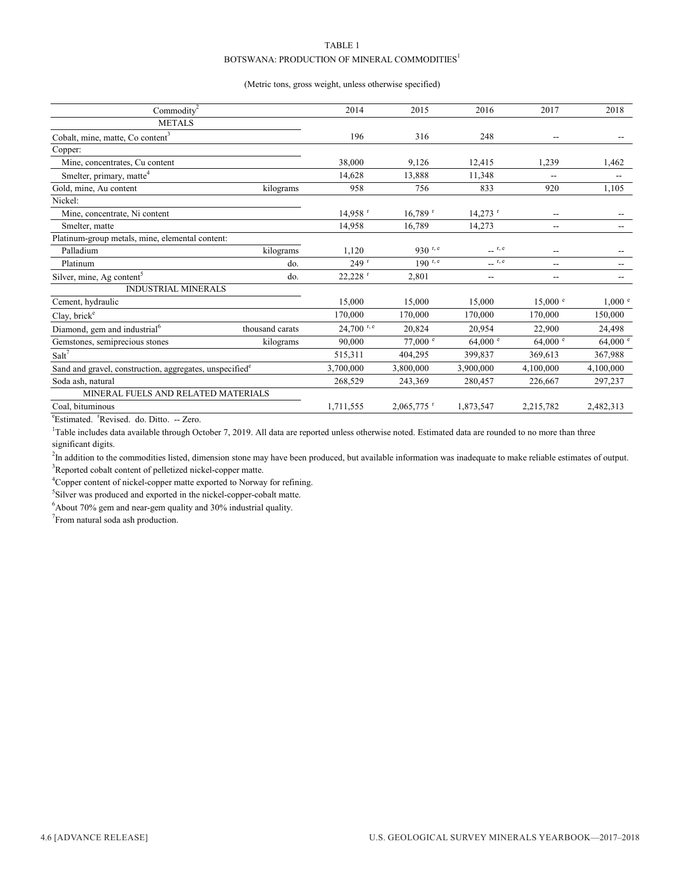#### TABLE 1 BOTSWANA: PRODUCTION OF MINERAL COMMODITIES<sup>1</sup>

#### (Metric tons, gross weight, unless otherwise specified)

| Commodity <sup>2</sup>                                              |                 | 2014                     | 2015                     | 2016                  | 2017               | 2018               |
|---------------------------------------------------------------------|-----------------|--------------------------|--------------------------|-----------------------|--------------------|--------------------|
| <b>METALS</b>                                                       |                 |                          |                          |                       |                    |                    |
| Cobalt, mine, matte, Co content <sup>3</sup>                        |                 | 196                      | 316                      | 248                   |                    |                    |
| Copper:                                                             |                 |                          |                          |                       |                    |                    |
| Mine, concentrates, Cu content                                      |                 | 38,000                   | 9,126                    | 12,415                | 1,239              | 1,462              |
| Smelter, primary, matte <sup>4</sup>                                |                 | 14,628                   | 13,888                   | 11,348                |                    |                    |
| Gold, mine, Au content                                              | kilograms       | 958                      | 756                      | 833                   | 920                | 1,105              |
| Nickel:                                                             |                 |                          |                          |                       |                    |                    |
| Mine, concentrate, Ni content                                       |                 | $14.958$ <sup>r</sup>    | $16,789$ <sup>r</sup>    | $14,273$ <sup>r</sup> | $\sim$             |                    |
| Smelter, matte                                                      |                 | 14,958                   | 16,789                   | 14,273                | $\sim$             |                    |
| Platinum-group metals, mine, elemental content:                     |                 |                          |                          |                       |                    |                    |
| Palladium                                                           | kilograms       | 1,120                    | 930 r.e                  | $\qquad \qquad$ r, e  | $\sim$             |                    |
| Platinum                                                            | do.             | 249r                     | $190$ r, e               | r, e                  | $\sim$ $\sim$      |                    |
| Silver, mine, Ag content <sup>5</sup>                               | do.             | $22,228$ <sup>r</sup>    | 2,801                    | --                    | $\sim$             |                    |
| <b>INDUSTRIAL MINERALS</b>                                          |                 |                          |                          |                       |                    |                    |
| Cement, hydraulic                                                   |                 | 15,000                   | 15,000                   | 15,000                | $15,000$ $\degree$ | $1,000$ $\degree$  |
| Clay, brick <sup>e</sup>                                            |                 | 170,000                  | 170,000                  | 170,000               | 170,000            | 150,000            |
| Diamond, gem and industrial <sup>6</sup>                            | thousand carats | $24,700$ <sup>r, e</sup> | 20,824                   | 20,954                | 22,900             | 24,498             |
| Gemstones, semiprecious stones                                      | kilograms       | 90,000                   | 77,000 e                 | $64,000$ $\degree$    | 64,000 $^{\circ}$  | $64,000$ $\degree$ |
| Salt <sup>7</sup>                                                   |                 | 515,311                  | 404,295                  | 399,837               | 369,613            | 367,988            |
| Sand and gravel, construction, aggregates, unspecified <sup>e</sup> |                 | 3,700,000                | 3,800,000                | 3,900,000             | 4,100,000          | 4,100,000          |
| Soda ash, natural                                                   |                 | 268,529                  | 243,369                  | 280,457               | 226,667            | 297,237            |
| MINERAL FUELS AND RELATED MATERIALS                                 |                 |                          |                          |                       |                    |                    |
| Coal, bituminous                                                    |                 | 1,711,555                | $2,065,775$ <sup>r</sup> | 1,873,547             | 2,215,782          | 2,482,313          |
| $2\pi$ at $\pi$ in the $\pi$ in $\pi$<br>$\sim$                     |                 |                          |                          |                       |                    |                    |

<sup>e</sup>Estimated. <sup>r</sup>Revised. do. Ditto. -- Zero.

<sup>1</sup>Table includes data available through October 7, 2019. All data are reported unless otherwise noted. Estimated data are rounded to no more than three significant digits.

<sup>2</sup>In addition to the commodities listed, dimension stone may have been produced, but available information was inadequate to make reliable estimates of output. <sup>3</sup>Reported cobalt content of pelletized nickel-copper matte.

<sup>4</sup>Copper content of nickel-copper matte exported to Norway for refining.

<sup>5</sup>Silver was produced and exported in the nickel-copper-cobalt matte.

6 About 70% gem and near-gem quality and 30% industrial quality.

 $7$ From natural soda ash production.